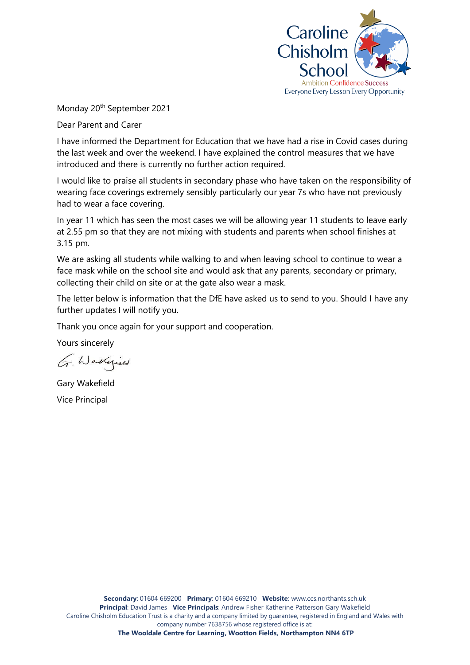

Monday 20<sup>th</sup> September 2021

Dear Parent and Carer

I have informed the Department for Education that we have had a rise in Covid cases during the last week and over the weekend. I have explained the control measures that we have introduced and there is currently no further action required.

I would like to praise all students in secondary phase who have taken on the responsibility of wearing face coverings extremely sensibly particularly our year 7s who have not previously had to wear a face covering.

In year 11 which has seen the most cases we will be allowing year 11 students to leave early at 2.55 pm so that they are not mixing with students and parents when school finishes at 3.15 pm.

We are asking all students while walking to and when leaving school to continue to wear a face mask while on the school site and would ask that any parents, secondary or primary, collecting their child on site or at the gate also wear a mask.

The letter below is information that the DfE have asked us to send to you. Should I have any further updates I will notify you.

Thank you once again for your support and cooperation.

Yours sincerely

G. Wakepield

Gary Wakefield Vice Principal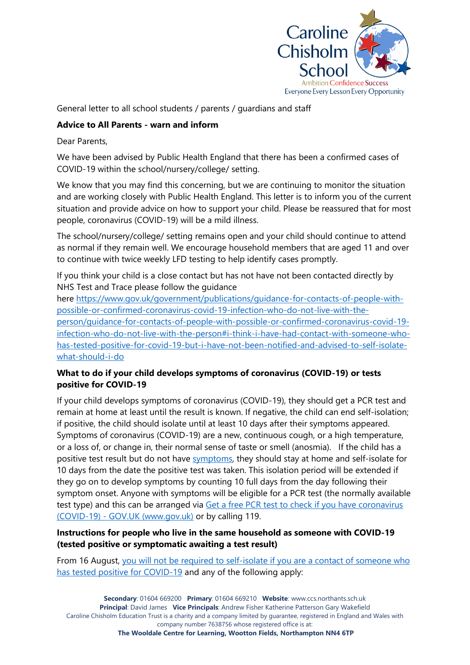

General letter to all school students / parents / guardians and staff

# **Advice to All Parents - warn and inform**

Dear Parents,

We have been advised by Public Health England that there has been a confirmed cases of COVID-19 within the school/nursery/college/ setting.

We know that you may find this concerning, but we are continuing to monitor the situation and are working closely with Public Health England. This letter is to inform you of the current situation and provide advice on how to support your child. Please be reassured that for most people, coronavirus (COVID-19) will be a mild illness.

The school/nursery/college/ setting remains open and your child should continue to attend as normal if they remain well. We encourage household members that are aged 11 and over to continue with twice weekly LFD testing to help identify cases promptly.

If you think your child is a close contact but has not have not been contacted directly by NHS Test and Trace please follow the guidance

here [https://www.gov.uk/government/publications/guidance-for-contacts-of-people-with](https://www.gov.uk/government/publications/guidance-for-contacts-of-people-with-possible-or-confirmed-coronavirus-covid-19-infection-who-do-not-live-with-the-person/guidance-for-contacts-of-people-with-possible-or-confirmed-coronavirus-covid-19-infection-who-do-not-live-with-the-person#i-think-i-have-had-contact-with-someone-who-has-tested-positive-for-covid-19-but-i-have-not-been-notified-and-advised-to-self-isolate-what-should-i-do)[possible-or-confirmed-coronavirus-covid-19-infection-who-do-not-live-with-the](https://www.gov.uk/government/publications/guidance-for-contacts-of-people-with-possible-or-confirmed-coronavirus-covid-19-infection-who-do-not-live-with-the-person/guidance-for-contacts-of-people-with-possible-or-confirmed-coronavirus-covid-19-infection-who-do-not-live-with-the-person#i-think-i-have-had-contact-with-someone-who-has-tested-positive-for-covid-19-but-i-have-not-been-notified-and-advised-to-self-isolate-what-should-i-do)[person/guidance-for-contacts-of-people-with-possible-or-confirmed-coronavirus-covid-19](https://www.gov.uk/government/publications/guidance-for-contacts-of-people-with-possible-or-confirmed-coronavirus-covid-19-infection-who-do-not-live-with-the-person/guidance-for-contacts-of-people-with-possible-or-confirmed-coronavirus-covid-19-infection-who-do-not-live-with-the-person#i-think-i-have-had-contact-with-someone-who-has-tested-positive-for-covid-19-but-i-have-not-been-notified-and-advised-to-self-isolate-what-should-i-do) [infection-who-do-not-live-with-the-person#i-think-i-have-had-contact-with-someone-who](https://www.gov.uk/government/publications/guidance-for-contacts-of-people-with-possible-or-confirmed-coronavirus-covid-19-infection-who-do-not-live-with-the-person/guidance-for-contacts-of-people-with-possible-or-confirmed-coronavirus-covid-19-infection-who-do-not-live-with-the-person#i-think-i-have-had-contact-with-someone-who-has-tested-positive-for-covid-19-but-i-have-not-been-notified-and-advised-to-self-isolate-what-should-i-do)[has-tested-positive-for-covid-19-but-i-have-not-been-notified-and-advised-to-self-isolate](https://www.gov.uk/government/publications/guidance-for-contacts-of-people-with-possible-or-confirmed-coronavirus-covid-19-infection-who-do-not-live-with-the-person/guidance-for-contacts-of-people-with-possible-or-confirmed-coronavirus-covid-19-infection-who-do-not-live-with-the-person#i-think-i-have-had-contact-with-someone-who-has-tested-positive-for-covid-19-but-i-have-not-been-notified-and-advised-to-self-isolate-what-should-i-do)[what-should-i-do](https://www.gov.uk/government/publications/guidance-for-contacts-of-people-with-possible-or-confirmed-coronavirus-covid-19-infection-who-do-not-live-with-the-person/guidance-for-contacts-of-people-with-possible-or-confirmed-coronavirus-covid-19-infection-who-do-not-live-with-the-person#i-think-i-have-had-contact-with-someone-who-has-tested-positive-for-covid-19-but-i-have-not-been-notified-and-advised-to-self-isolate-what-should-i-do) 

# **What to do if your child develops symptoms of coronavirus (COVID-19) or tests positive for COVID-19**

If your child develops symptoms of coronavirus (COVID-19), they should get a PCR test and remain at home at least until the result is known. If negative, the child can end self-isolation; if positive, the child should isolate until at least 10 days after their symptoms appeared. Symptoms of coronavirus (COVID-19) are a new, continuous cough, or a high temperature, or a loss of, or change in, their normal sense of taste or smell (anosmia). If the child has a positive test result but do not have [symptoms,](https://www.gov.uk/government/publications/covid-19-stay-at-home-guidance/stay-at-home-guidance-for-households-with-possible-coronavirus-covid-19-infection#symptoms) they should stay at home and self-isolate for 10 days from the date the positive test was taken. This isolation period will be extended if they go on to develop symptoms by counting 10 full days from the day following their symptom onset. Anyone with symptoms will be eligible for a PCR test (the normally available test type) and this can be arranged via Get a free PCR test to check if you have coronavirus (COVID-19) - [GOV.UK \(www.gov.uk\)](https://www.gov.uk/get-coronavirus-test) or by calling 119.

# **Instructions for people who live in the same household as someone with COVID-19 (tested positive or symptomatic awaiting a test result)**

From 16 August, [you will not be required to self-isolate if you are a contact of someone who](https://www.gov.uk/government/publications/covid-19-stay-at-home-guidance/stay-at-home-guidance-for-households-with-possible-coronavirus-covid-19-infection#exempt)  [has tested positive for COVID-19](https://www.gov.uk/government/publications/covid-19-stay-at-home-guidance/stay-at-home-guidance-for-households-with-possible-coronavirus-covid-19-infection#exempt) and any of the following apply: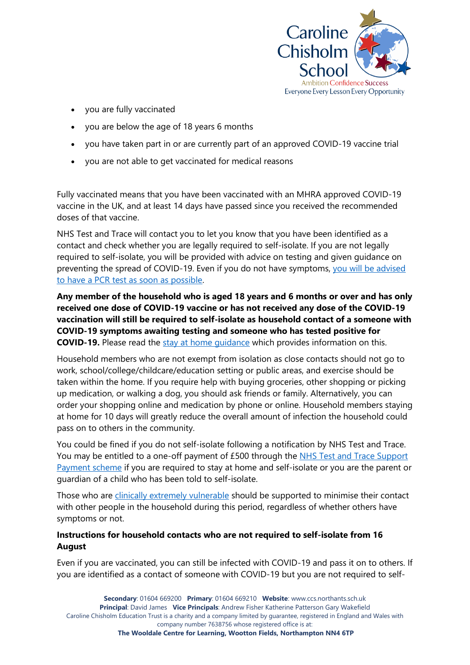

- you are fully vaccinated
- you are below the age of 18 years 6 months
- you have taken part in or are currently part of an approved COVID-19 vaccine trial
- you are not able to get vaccinated for medical reasons

Fully vaccinated means that you have been vaccinated with an MHRA approved COVID-19 vaccine in the UK, and at least 14 days have passed since you received the recommended doses of that vaccine.

NHS Test and Trace will contact you to let you know that you have been identified as a contact and check whether you are legally required to self-isolate. If you are not legally required to self-isolate, you will be provided with advice on testing and given guidance on preventing the spread of COVID-19. Even if you do not have symptoms, [you will be advised](https://www.gov.uk/government/publications/covid-19-stay-at-home-guidance/stay-at-home-guidance-for-households-with-possible-coronavirus-covid-19-infection#PCR)  to have a PCR [test as soon as possible.](https://www.gov.uk/government/publications/covid-19-stay-at-home-guidance/stay-at-home-guidance-for-households-with-possible-coronavirus-covid-19-infection#PCR)

**Any member of the household who is aged 18 years and 6 months or over and has only received one dose of COVID-19 vaccine or has not received any dose of the COVID-19 vaccination will still be required to self-isolate as household contact of a someone with COVID-19 symptoms awaiting testing and someone who has tested positive for COVID-19.** Please read the [stay at home guidance](https://www.gov.uk/government/publications/covid-19-stay-at-home-guidance) which provides information on this.

Household members who are not exempt from isolation as close contacts should not go to work, school/college/childcare/education setting or public areas, and exercise should be taken within the home. If you require help with buying groceries, other shopping or picking up medication, or walking a dog, you should ask friends or family. Alternatively, you can order your shopping online and medication by phone or online. Household members staying at home for 10 days will greatly reduce the overall amount of infection the household could pass on to others in the community.

You could be fined if you do not self-isolate following a notification by NHS Test and Trace. You may be entitled to a one-off payment of £500 through the [NHS Test and Trace Support](https://www.gov.uk/government/publications/test-and-trace-support-payment-scheme-claiming-financial-support/claiming-financial-support-under-the-test-and-trace-support-payment-scheme)  [Payment scheme](https://www.gov.uk/government/publications/test-and-trace-support-payment-scheme-claiming-financial-support/claiming-financial-support-under-the-test-and-trace-support-payment-scheme) if you are required to stay at home and self-isolate or you are the parent or guardian of a child who has been told to self-isolate.

Those who are [clinically extremely vulnerable](https://www.gov.uk/government/publications/guidance-on-shielding-and-protecting-extremely-vulnerable-persons-from-covid-19/guidance-on-shielding-and-protecting-extremely-vulnerable-persons-from-covid-19) should be supported to minimise their contact with other people in the household during this period, regardless of whether others have symptoms or not.

# **Instructions for household contacts who are not required to self-isolate from 16 August**

Even if you are vaccinated, you can still be infected with COVID-19 and pass it on to others. If you are identified as a contact of someone with COVID-19 but you are not required to self-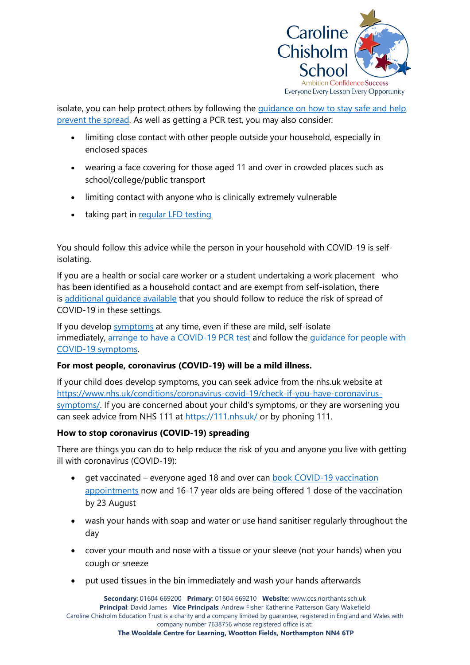

isolate, you can help protect others by following the [guidance on how to stay safe and help](https://www.gov.uk/guidance/covid-19-coronavirus-restrictions-what-you-can-and-cannot-do#keeping-yourself-and-others-safe)  [prevent the spread.](https://www.gov.uk/guidance/covid-19-coronavirus-restrictions-what-you-can-and-cannot-do#keeping-yourself-and-others-safe) As well as getting a PCR test, you may also consider:

- limiting close contact with other people outside your household, especially in enclosed spaces
- wearing a face covering for those aged 11 and over in crowded places such as school/college/public transport
- limiting contact with anyone who is clinically extremely vulnerable
- taking part in [regular](https://www.gov.uk/order-coronavirus-rapid-lateral-flow-tests) LFD testing

You should follow this advice while the person in your household with COVID-19 is selfisolating.

If you are a health or social care worker or a student undertaking a work placement who has been identified as a household contact and are exempt from self-isolation, there is [additional guidance available](https://www.gov.uk/government/publications/covid-19-management-of-exposed-healthcare-workers-and-patients-in-hospital-settings/covid-19-management-of-exposed-healthcare-workers-and-patients-in-hospital-settings) that you should follow to reduce the risk of spread of COVID-19 in these settings.

If you develop [symptoms](https://www.gov.uk/government/publications/covid-19-stay-at-home-guidance/stay-at-home-guidance-for-households-with-possible-coronavirus-covid-19-infection#symptoms) at any time, even if these are mild, self-isolate immediately, [arrange to have a COVID-19](https://www.gov.uk/get-coronavirus-test) PCR test and follow the quidance for people with [COVID-19 symptoms.](https://www.gov.uk/government/publications/covid-19-stay-at-home-guidance/stay-at-home-guidance-for-households-with-possible-coronavirus-covid-19-infection#SymptomsPositiveTest)

# **For most people, coronavirus (COVID-19) will be a mild illness.**

If your child does develop symptoms, you can seek advice from the nhs.uk website at [https://www.nhs.uk/conditions/coronavirus-covid-19/check-if-you-have-coronavirus](https://www.nhs.uk/conditions/coronavirus-covid-19/check-if-you-have-coronavirus-symptoms/)[symptoms/](https://www.nhs.uk/conditions/coronavirus-covid-19/check-if-you-have-coronavirus-symptoms/). If you are concerned about your child's symptoms, or they are worsening you can seek advice from NHS 111 at<https://111.nhs.uk/> or by phoning 111.

# **How to stop coronavirus (COVID-19) spreading**

There are things you can do to help reduce the risk of you and anyone you live with getting ill with coronavirus (COVID-19):

- get vaccinated everyone aged 18 and over can [book COVID-19 vaccination](https://www.nhs.uk/conditions/coronavirus-covid-19/coronavirus-vaccination/book-coronavirus-vaccination/)  [appointments](https://www.nhs.uk/conditions/coronavirus-covid-19/coronavirus-vaccination/book-coronavirus-vaccination/) now and 16-17 year olds are being offered 1 dose of the vaccination by 23 August
- wash your hands with soap and water or use hand sanitiser regularly throughout the day
- cover your mouth and nose with a tissue or your sleeve (not your hands) when you cough or sneeze
- put used tissues in the bin immediately and wash your hands afterwards

**Secondary**: 01604 669200 **Primary**: 01604 669210 **Website**: [www.ccs.northants.sch.uk](http://www.ccs.northants.sch.uk/) **Principal**: David James **Vice Principals**: Andrew Fisher Katherine Patterson Gary Wakefield Caroline Chisholm Education Trust is a charity and a company limited by guarantee, registered in England and Wales with company number 7638756 whose registered office is at: